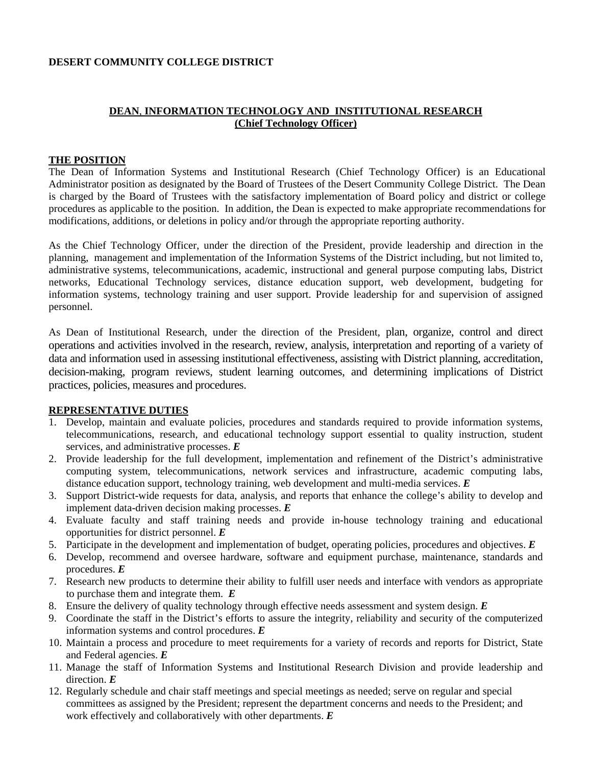#### **DESERT COMMUNITY COLLEGE DISTRICT**

## **DEAN**, **INFORMATION TECHNOLOGY AND INSTITUTIONAL RESEARCH (Chief Technology Officer)**

#### **THE POSITION**

The Dean of Information Systems and Institutional Research (Chief Technology Officer) is an Educational Administrator position as designated by the Board of Trustees of the Desert Community College District. The Dean is charged by the Board of Trustees with the satisfactory implementation of Board policy and district or college procedures as applicable to the position. In addition, the Dean is expected to make appropriate recommendations for modifications, additions, or deletions in policy and/or through the appropriate reporting authority.

As the Chief Technology Officer, under the direction of the President, provide leadership and direction in the planning, management and implementation of the Information Systems of the District including, but not limited to, administrative systems, telecommunications, academic, instructional and general purpose computing labs, District networks, Educational Technology services, distance education support, web development, budgeting for information systems, technology training and user support. Provide leadership for and supervision of assigned personnel.

As Dean of Institutional Research, under the direction of the President, plan, organize, control and direct operations and activities involved in the research, review, analysis, interpretation and reporting of a variety of data and information used in assessing institutional effectiveness, assisting with District planning, accreditation, decision-making, program reviews, student learning outcomes, and determining implications of District practices, policies, measures and procedures.

### **REPRESENTATIVE DUTIES**

- 1. Develop, maintain and evaluate policies, procedures and standards required to provide information systems, telecommunications, research, and educational technology support essential to quality instruction, student services, and administrative processes. *E*
- 2. Provide leadership for the full development, implementation and refinement of the District's administrative computing system, telecommunications, network services and infrastructure, academic computing labs, distance education support, technology training, web development and multi-media services. *E*
- 3. Support District-wide requests for data, analysis, and reports that enhance the college's ability to develop and implement data-driven decision making processes. *E*
- 4. Evaluate faculty and staff training needs and provide in-house technology training and educational opportunities for district personnel. *E*
- 5. Participate in the development and implementation of budget, operating policies, procedures and objectives. *E*
- 6. Develop, recommend and oversee hardware, software and equipment purchase, maintenance, standards and procedures. *E*
- 7. Research new products to determine their ability to fulfill user needs and interface with vendors as appropriate to purchase them and integrate them. *E*
- 8. Ensure the delivery of quality technology through effective needs assessment and system design. *E*
- 9. Coordinate the staff in the District's efforts to assure the integrity, reliability and security of the computerized information systems and control procedures. *E*
- 10. Maintain a process and procedure to meet requirements for a variety of records and reports for District, State and Federal agencies. *E*
- 11. Manage the staff of Information Systems and Institutional Research Division and provide leadership and direction. *E*
- 12. Regularly schedule and chair staff meetings and special meetings as needed; serve on regular and special committees as assigned by the President; represent the department concerns and needs to the President; and work effectively and collaboratively with other departments. *E*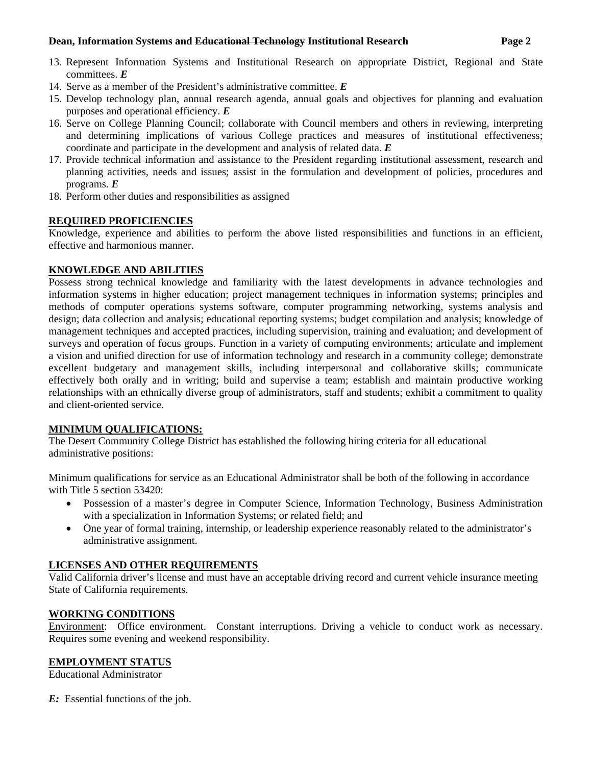#### **Dean, Information Systems and Educational Technology Institutional Research Page 2**

- 13. Represent Information Systems and Institutional Research on appropriate District, Regional and State committees. *E*
- 14. Serve as a member of the President's administrative committee. *E*
- 15. Develop technology plan, annual research agenda, annual goals and objectives for planning and evaluation purposes and operational efficiency. *E*
- 16. Serve on College Planning Council; collaborate with Council members and others in reviewing, interpreting and determining implications of various College practices and measures of institutional effectiveness; coordinate and participate in the development and analysis of related data. *E*
- 17. Provide technical information and assistance to the President regarding institutional assessment, research and planning activities, needs and issues; assist in the formulation and development of policies, procedures and programs. *E*
- 18. Perform other duties and responsibilities as assigned

# **REQUIRED PROFICIENCIES**

Knowledge, experience and abilities to perform the above listed responsibilities and functions in an efficient, effective and harmonious manner.

### **KNOWLEDGE AND ABILITIES**

Possess strong technical knowledge and familiarity with the latest developments in advance technologies and information systems in higher education; project management techniques in information systems; principles and methods of computer operations systems software, computer programming networking, systems analysis and design; data collection and analysis; educational reporting systems; budget compilation and analysis; knowledge of management techniques and accepted practices, including supervision, training and evaluation; and development of surveys and operation of focus groups. Function in a variety of computing environments; articulate and implement a vision and unified direction for use of information technology and research in a community college; demonstrate excellent budgetary and management skills, including interpersonal and collaborative skills; communicate effectively both orally and in writing; build and supervise a team; establish and maintain productive working relationships with an ethnically diverse group of administrators, staff and students; exhibit a commitment to quality and client-oriented service.

# **MINIMUM QUALIFICATIONS:**

The Desert Community College District has established the following hiring criteria for all educational administrative positions:

Minimum qualifications for service as an Educational Administrator shall be both of the following in accordance with Title 5 section 53420:

- Possession of a master's degree in Computer Science, Information Technology, Business Administration with a specialization in Information Systems; or related field; and
- One year of formal training, internship, or leadership experience reasonably related to the administrator's administrative assignment.

# **LICENSES AND OTHER REQUIREMENTS**

Valid California driver's license and must have an acceptable driving record and current vehicle insurance meeting State of California requirements.

# **WORKING CONDITIONS**

Environment: Office environment. Constant interruptions. Driving a vehicle to conduct work as necessary. Requires some evening and weekend responsibility.

# **EMPLOYMENT STATUS**

Educational Administrator

*E:* Essential functions of the job.